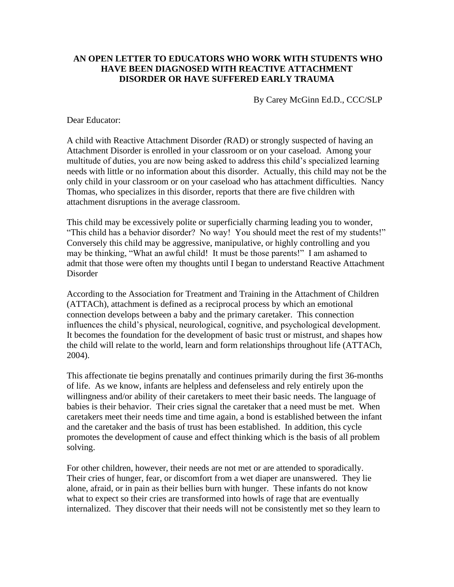## **AN OPEN LETTER TO EDUCATORS WHO WORK WITH STUDENTS WHO HAVE BEEN DIAGNOSED WITH REACTIVE ATTACHMENT DISORDER OR HAVE SUFFERED EARLY TRAUMA**

By Carey McGinn Ed.D., CCC/SLP

Dear Educator:

A child with Reactive Attachment Disorder *(*RAD) or strongly suspected of having an Attachment Disorder is enrolled in your classroom or on your caseload. Among your multitude of duties, you are now being asked to address this child's specialized learning needs with little or no information about this disorder. Actually, this child may not be the only child in your classroom or on your caseload who has attachment difficulties. Nancy Thomas, who specializes in this disorder, reports that there are five children with attachment disruptions in the average classroom.

This child may be excessively polite or superficially charming leading you to wonder, "This child has a behavior disorder? No way! You should meet the rest of my students!" Conversely this child may be aggressive, manipulative, or highly controlling and you may be thinking, "What an awful child! It must be those parents!" I am ashamed to admit that those were often my thoughts until I began to understand Reactive Attachment Disorder

According to the Association for Treatment and Training in the Attachment of Children (ATTACh), attachment is defined as a reciprocal process by which an emotional connection develops between a baby and the primary caretaker. This connection influences the child's physical, neurological, cognitive, and psychological development. It becomes the foundation for the development of basic trust or mistrust, and shapes how the child will relate to the world, learn and form relationships throughout life (ATTACh, 2004).

This affectionate tie begins prenatally and continues primarily during the first 36-months of life. As we know, infants are helpless and defenseless and rely entirely upon the willingness and/or ability of their caretakers to meet their basic needs. The language of babies is their behavior. Their cries signal the caretaker that a need must be met. When caretakers meet their needs time and time again, a bond is established between the infant and the caretaker and the basis of trust has been established. In addition, this cycle promotes the development of cause and effect thinking which is the basis of all problem solving.

For other children, however, their needs are not met or are attended to sporadically. Their cries of hunger, fear, or discomfort from a wet diaper are unanswered. They lie alone, afraid, or in pain as their bellies burn with hunger. These infants do not know what to expect so their cries are transformed into howls of rage that are eventually internalized. They discover that their needs will not be consistently met so they learn to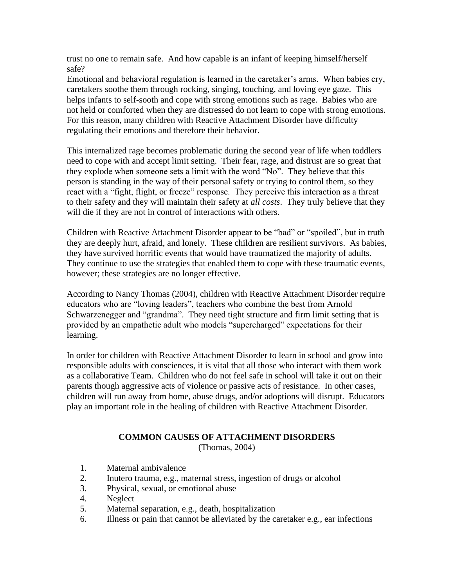trust no one to remain safe. And how capable is an infant of keeping himself/herself safe?

Emotional and behavioral regulation is learned in the caretaker's arms. When babies cry, caretakers soothe them through rocking, singing, touching, and loving eye gaze. This helps infants to self-sooth and cope with strong emotions such as rage. Babies who are not held or comforted when they are distressed do not learn to cope with strong emotions. For this reason, many children with Reactive Attachment Disorder have difficulty regulating their emotions and therefore their behavior.

This internalized rage becomes problematic during the second year of life when toddlers need to cope with and accept limit setting. Their fear, rage, and distrust are so great that they explode when someone sets a limit with the word "No". They believe that this person is standing in the way of their personal safety or trying to control them, so they react with a "fight, flight, or freeze" response. They perceive this interaction as a threat to their safety and they will maintain their safety at *all costs*. They truly believe that they will die if they are not in control of interactions with others.

Children with Reactive Attachment Disorder appear to be "bad" or "spoiled", but in truth they are deeply hurt, afraid, and lonely. These children are resilient survivors. As babies, they have survived horrific events that would have traumatized the majority of adults. They continue to use the strategies that enabled them to cope with these traumatic events, however; these strategies are no longer effective.

According to Nancy Thomas (2004), children with Reactive Attachment Disorder require educators who are "loving leaders", teachers who combine the best from Arnold Schwarzenegger and "grandma". They need tight structure and firm limit setting that is provided by an empathetic adult who models "supercharged" expectations for their learning.

In order for children with Reactive Attachment Disorder to learn in school and grow into responsible adults with consciences, it is vital that all those who interact with them work as a collaborative Team. Children who do not feel safe in school will take it out on their parents though aggressive acts of violence or passive acts of resistance. In other cases, children will run away from home, abuse drugs, and/or adoptions will disrupt. Educators play an important role in the healing of children with Reactive Attachment Disorder.

## **COMMON CAUSES OF ATTACHMENT DISORDERS**

(Thomas, 2004)

- 1. Maternal ambivalence
- 2. Inutero trauma, e.g., maternal stress, ingestion of drugs or alcohol
- 3. Physical, sexual, or emotional abuse
- 4. Neglect
- 5. Maternal separation, e.g., death, hospitalization
- 6. Illness or pain that cannot be alleviated by the caretaker e.g., ear infections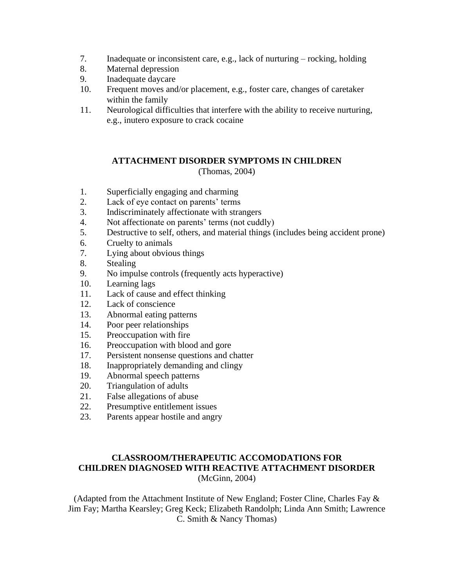- 7. Inadequate or inconsistent care, e.g., lack of nurturing rocking, holding
- 8. Maternal depression
- 9. Inadequate daycare
- 10. Frequent moves and/or placement, e.g., foster care, changes of caretaker within the family
- 11. Neurological difficulties that interfere with the ability to receive nurturing, e.g., inutero exposure to crack cocaine

# **ATTACHMENT DISORDER SYMPTOMS IN CHILDREN** (Thomas, 2004)

- 1. Superficially engaging and charming
- 2. Lack of eye contact on parents' terms
- 3. Indiscriminately affectionate with strangers
- 4. Not affectionate on parents' terms (not cuddly)
- 5. Destructive to self, others, and material things (includes being accident prone)
- 6. Cruelty to animals
- 7. Lying about obvious things
- 8. Stealing
- 9. No impulse controls (frequently acts hyperactive)
- 10. Learning lags
- 11. Lack of cause and effect thinking
- 12. Lack of conscience
- 13. Abnormal eating patterns
- 14. Poor peer relationships
- 15. Preoccupation with fire
- 16. Preoccupation with blood and gore
- 17. Persistent nonsense questions and chatter
- 18. Inappropriately demanding and clingy
- 19. Abnormal speech patterns
- 20. Triangulation of adults
- 21. False allegations of abuse
- 22. Presumptive entitlement issues
- 23. Parents appear hostile and angry

### **CLASSROOM/THERAPEUTIC ACCOMODATIONS FOR CHILDREN DIAGNOSED WITH REACTIVE ATTACHMENT DISORDER** (McGinn, 2004)

(Adapted from the Attachment Institute of New England; Foster Cline, Charles Fay & Jim Fay; Martha Kearsley; Greg Keck; Elizabeth Randolph; Linda Ann Smith; Lawrence C. Smith & Nancy Thomas)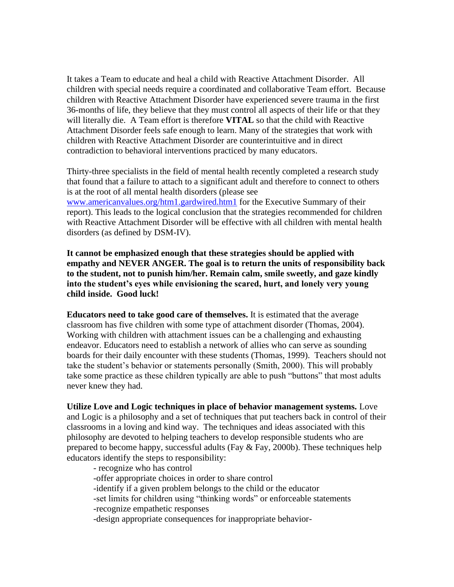It takes a Team to educate and heal a child with Reactive Attachment Disorder. All children with special needs require a coordinated and collaborative Team effort. Because children with Reactive Attachment Disorder have experienced severe trauma in the first 36-months of life, they believe that they must control all aspects of their life or that they will literally die. A Team effort is therefore **VITAL** so that the child with Reactive Attachment Disorder feels safe enough to learn. Many of the strategies that work with children with Reactive Attachment Disorder are counterintuitive and in direct contradiction to behavioral interventions practiced by many educators.

Thirty-three specialists in the field of mental health recently completed a research study that found that a failure to attach to a significant adult and therefore to connect to others is at the root of all mental health disorders (please see [www.americanvalues.org/htm1.gardwired.htm1](http://www.americanvalues.org/htm1.gardwired.htm1) for the Executive Summary of their report). This leads to the logical conclusion that the strategies recommended for children with Reactive Attachment Disorder will be effective with all children with mental health disorders (as defined by DSM-IV).

**It cannot be emphasized enough that these strategies should be applied with empathy and NEVER ANGER. The goal is to return the units of responsibility back to the student, not to punish him/her. Remain calm, smile sweetly, and gaze kindly into the student's eyes while envisioning the scared, hurt, and lonely very young child inside. Good luck!**

**Educators need to take good care of themselves.** It is estimated that the average classroom has five children with some type of attachment disorder (Thomas, 2004). Working with children with attachment issues can be a challenging and exhausting endeavor. Educators need to establish a network of allies who can serve as sounding boards for their daily encounter with these students (Thomas, 1999). Teachers should not take the student's behavior or statements personally (Smith, 2000). This will probably take some practice as these children typically are able to push "buttons" that most adults never knew they had.

**Utilize Love and Logic techniques in place of behavior management systems.** Love and Logic is a philosophy and a set of techniques that put teachers back in control of their classrooms in a loving and kind way. The techniques and ideas associated with this philosophy are devoted to helping teachers to develop responsible students who are prepared to become happy, successful adults (Fay & Fay, 2000b). These techniques help educators identify the steps to responsibility:

- recognize who has control -offer appropriate choices in order to share control -identify if a given problem belongs to the child or the educator -set limits for children using "thinking words" or enforceable statements -recognize empathetic responses -design appropriate consequences for inappropriate behavior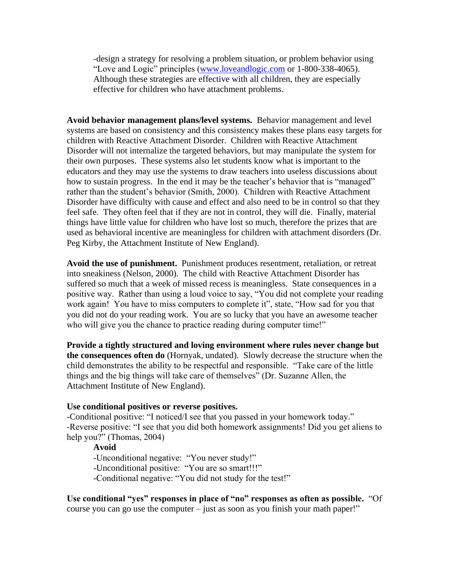-design a strategy for resolving a problem situation, or problem behavior using "Love and Logic" principles [\(www.loveandlogic.com](http://www.loveandlogic.com/) or 1-800-338-4065). Although these strategies are effective with all children, they are especially effective for children who have attachment problems.

**Avoid behavior management plans/level systems.** Behavior management and level systems are based on consistency and this consistency makes these plans easy targets for children with Reactive Attachment Disorder. Children with Reactive Attachment Disorder will not internalize the targeted behaviors, but may manipulate the system for their own purposes. These systems also let students know what is important to the educators and they may use the systems to draw teachers into useless discussions about how to sustain progress. In the end it may be the teacher's behavior that is "managed" rather than the student's behavior (Smith, 2000). Children with Reactive Attachment Disorder have difficulty with cause and effect and also need to be in control so that they feel safe. They often feel that if they are not in control, they will die. Finally, material things have little value for children who have lost so much, therefore the prizes that are used as behavioral incentive are meaningless for children with attachment disorders (Dr. Peg Kirby, the Attachment Institute of New England).

**Avoid the use of punishment.** Punishment produces resentment, retaliation, or retreat into sneakiness (Nelson, 2000). The child with Reactive Attachment Disorder has suffered so much that a week of missed recess is meaningless. State consequences in a positive way. Rather than using a loud voice to say, "You did not complete your reading work again! You have to miss computers to complete it", state, "How sad for you that you did not do your reading work. You are so lucky that you have an awesome teacher who will give you the chance to practice reading during computer time!"

**Provide a tightly structured and loving environment where rules never change but the consequences often do** (Hornyak, undated). Slowly decrease the structure when the child demonstrates the ability to be respectful and responsible. "Take care of the little things and the big things will take care of themselves" (Dr. Suzanne Allen, the Attachment Institute of New England).

#### **Use conditional positives or reverse positives.**

-Conditional positive: "I noticed/I see that you passed in your homework today." -Reverse positive: "I see that you did both homework assignments! Did you get aliens to help you?" (Thomas, 2004)

**Avoid**

-Unconditional negative: "You never study!"

-Unconditional positive: "You are so smart!!!"

-Conditional negative: "You did not study for the test!"

**Use conditional "yes" responses in place of "no" responses as often as possible.** "Of course you can go use the computer – just as soon as you finish your math paper!"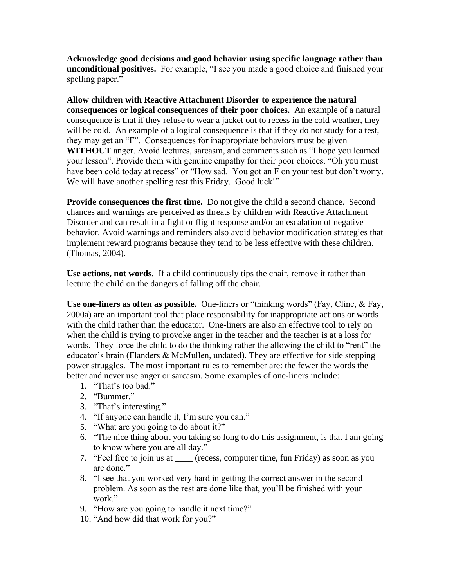**Acknowledge good decisions and good behavior using specific language rather than unconditional positives.** For example, "I see you made a good choice and finished your spelling paper."

**Allow children with Reactive Attachment Disorder to experience the natural consequences or logical consequences of their poor choices.** An example of a natural consequence is that if they refuse to wear a jacket out to recess in the cold weather, they will be cold. An example of a logical consequence is that if they do not study for a test, they may get an "F". Consequences for inappropriate behaviors must be given **WITHOUT** anger. Avoid lectures, sarcasm, and comments such as "I hope you learned your lesson". Provide them with genuine empathy for their poor choices. "Oh you must have been cold today at recess" or "How sad. You got an F on your test but don't worry. We will have another spelling test this Friday. Good luck!"

**Provide consequences the first time.** Do not give the child a second chance. Second chances and warnings are perceived as threats by children with Reactive Attachment Disorder and can result in a fight or flight response and/or an escalation of negative behavior. Avoid warnings and reminders also avoid behavior modification strategies that implement reward programs because they tend to be less effective with these children. (Thomas, 2004).

**Use actions, not words.** If a child continuously tips the chair, remove it rather than lecture the child on the dangers of falling off the chair.

**Use one-liners as often as possible.** One-liners or "thinking words" (Fay, Cline, & Fay, 2000a) are an important tool that place responsibility for inappropriate actions or words with the child rather than the educator. One-liners are also an effective tool to rely on when the child is trying to provoke anger in the teacher and the teacher is at a loss for words. They force the child to do the thinking rather the allowing the child to "rent" the educator's brain (Flanders & McMullen, undated). They are effective for side stepping power struggles. The most important rules to remember are: the fewer the words the better and never use anger or sarcasm. Some examples of one-liners include:

- 1. "That's too bad."
- 2. "Bummer."
- 3. "That's interesting."
- 4. "If anyone can handle it, I'm sure you can."
- 5. "What are you going to do about it?"
- 6. "The nice thing about you taking so long to do this assignment, is that I am going to know where you are all day."
- 7. "Feel free to join us at \_\_\_\_ (recess, computer time, fun Friday) as soon as you are done."
- 8. "I see that you worked very hard in getting the correct answer in the second problem. As soon as the rest are done like that, you'll be finished with your work."
- 9. "How are you going to handle it next time?"
- 10. "And how did that work for you?"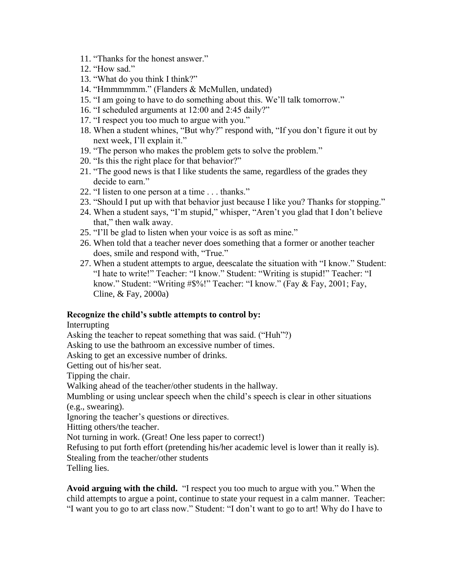- 11. "Thanks for the honest answer."
- 12. "How sad."
- 13. "What do you think I think?"
- 14. "Hmmmmmm." (Flanders & McMullen, undated)
- 15. "I am going to have to do something about this. We'll talk tomorrow."
- 16. "I scheduled arguments at 12:00 and 2:45 daily?"
- 17. "I respect you too much to argue with you."
- 18. When a student whines, "But why?" respond with, "If you don't figure it out by next week, I'll explain it."
- 19. "The person who makes the problem gets to solve the problem."
- 20. "Is this the right place for that behavior?"
- 21. "The good news is that I like students the same, regardless of the grades they decide to earn."
- 22. "I listen to one person at a time . . . thanks."
- 23. "Should I put up with that behavior just because I like you? Thanks for stopping."
- 24. When a student says, "I'm stupid," whisper, "Aren't you glad that I don't believe that," then walk away.
- 25. "I'll be glad to listen when your voice is as soft as mine."
- 26. When told that a teacher never does something that a former or another teacher does, smile and respond with, "True."
- 27. When a student attempts to argue, deescalate the situation with "I know." Student: "I hate to write!" Teacher: "I know." Student: "Writing is stupid!" Teacher: "I know." Student: "Writing #\$%!" Teacher: "I know." (Fay & Fay, 2001; Fay, Cline, & Fay, 2000a)

### **Recognize the child's subtle attempts to control by:**

Interrupting

Asking the teacher to repeat something that was said. ("Huh"?)

Asking to use the bathroom an excessive number of times. Asking to get an excessive number of drinks.

Getting out of his/her seat.

Tipping the chair.

Walking ahead of the teacher/other students in the hallway.

Mumbling or using unclear speech when the child's speech is clear in other situations (e.g., swearing).

Ignoring the teacher's questions or directives.

Hitting others/the teacher.

Not turning in work. (Great! One less paper to correct!)

Refusing to put forth effort (pretending his/her academic level is lower than it really is). Stealing from the teacher/other students

Telling lies.

**Avoid arguing with the child.** "I respect you too much to argue with you." When the child attempts to argue a point, continue to state your request in a calm manner. Teacher: "I want you to go to art class now." Student: "I don't want to go to art! Why do I have to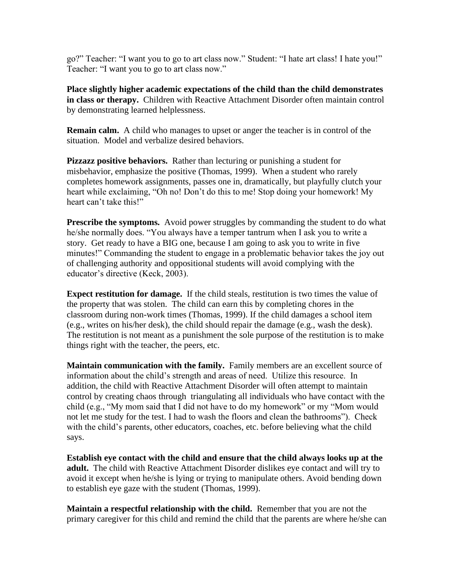go?" Teacher: "I want you to go to art class now." Student: "I hate art class! I hate you!" Teacher: "I want you to go to art class now."

**Place slightly higher academic expectations of the child than the child demonstrates in class or therapy.** Children with Reactive Attachment Disorder often maintain control by demonstrating learned helplessness.

**Remain calm.** A child who manages to upset or anger the teacher is in control of the situation. Model and verbalize desired behaviors.

**Pizzazz positive behaviors.** Rather than lecturing or punishing a student for misbehavior, emphasize the positive (Thomas, 1999). When a student who rarely completes homework assignments, passes one in, dramatically, but playfully clutch your heart while exclaiming, "Oh no! Don't do this to me! Stop doing your homework! My heart can't take this!"

**Prescribe the symptoms.** Avoid power struggles by commanding the student to do what he/she normally does. "You always have a temper tantrum when I ask you to write a story. Get ready to have a BIG one, because I am going to ask you to write in five minutes!" Commanding the student to engage in a problematic behavior takes the joy out of challenging authority and oppositional students will avoid complying with the educator's directive (Keck, 2003).

**Expect restitution for damage.** If the child steals, restitution is two times the value of the property that was stolen. The child can earn this by completing chores in the classroom during non-work times (Thomas, 1999). If the child damages a school item (e.g., writes on his/her desk), the child should repair the damage (e.g., wash the desk). The restitution is not meant as a punishment the sole purpose of the restitution is to make things right with the teacher, the peers, etc.

**Maintain communication with the family.** Family members are an excellent source of information about the child's strength and areas of need. Utilize this resource. In addition, the child with Reactive Attachment Disorder will often attempt to maintain control by creating chaos through triangulating all individuals who have contact with the child (e.g., "My mom said that I did not have to do my homework" or my "Mom would not let me study for the test. I had to wash the floors and clean the bathrooms"). Check with the child's parents, other educators, coaches, etc. before believing what the child says.

**Establish eye contact with the child and ensure that the child always looks up at the adult.** The child with Reactive Attachment Disorder dislikes eye contact and will try to avoid it except when he/she is lying or trying to manipulate others. Avoid bending down to establish eye gaze with the student (Thomas, 1999).

**Maintain a respectful relationship with the child.** Remember that you are not the primary caregiver for this child and remind the child that the parents are where he/she can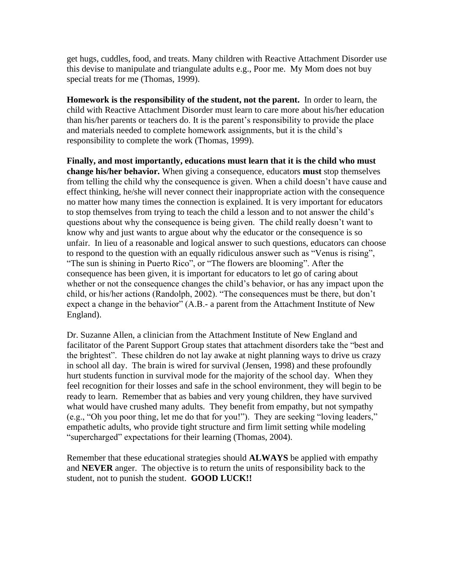get hugs, cuddles, food, and treats. Many children with Reactive Attachment Disorder use this devise to manipulate and triangulate adults e.g., Poor me. My Mom does not buy special treats for me (Thomas, 1999).

**Homework is the responsibility of the student, not the parent.** In order to learn, the child with Reactive Attachment Disorder must learn to care more about his/her education than his/her parents or teachers do. It is the parent's responsibility to provide the place and materials needed to complete homework assignments, but it is the child's responsibility to complete the work (Thomas, 1999).

**Finally, and most importantly, educations must learn that it is the child who must change his/her behavior.** When giving a consequence, educators **must** stop themselves from telling the child why the consequence is given. When a child doesn't have cause and effect thinking, he/she will never connect their inappropriate action with the consequence no matter how many times the connection is explained. It is very important for educators to stop themselves from trying to teach the child a lesson and to not answer the child's questions about why the consequence is being given. The child really doesn't want to know why and just wants to argue about why the educator or the consequence is so unfair. In lieu of a reasonable and logical answer to such questions, educators can choose to respond to the question with an equally ridiculous answer such as "Venus is rising", "The sun is shining in Puerto Rico", or "The flowers are blooming". After the consequence has been given, it is important for educators to let go of caring about whether or not the consequence changes the child's behavior, or has any impact upon the child, or his/her actions (Randolph, 2002). "The consequences must be there, but don't expect a change in the behavior" (A.B.- a parent from the Attachment Institute of New England).

Dr. Suzanne Allen, a clinician from the Attachment Institute of New England and facilitator of the Parent Support Group states that attachment disorders take the "best and the brightest". These children do not lay awake at night planning ways to drive us crazy in school all day. The brain is wired for survival (Jensen, 1998) and these profoundly hurt students function in survival mode for the majority of the school day. When they feel recognition for their losses and safe in the school environment, they will begin to be ready to learn. Remember that as babies and very young children, they have survived what would have crushed many adults. They benefit from empathy, but not sympathy (e.g., "Oh you poor thing, let me do that for you!"). They are seeking "loving leaders," empathetic adults, who provide tight structure and firm limit setting while modeling "supercharged" expectations for their learning (Thomas, 2004).

Remember that these educational strategies should **ALWAYS** be applied with empathy and **NEVER** anger. The objective is to return the units of responsibility back to the student, not to punish the student. **GOOD LUCK!!**